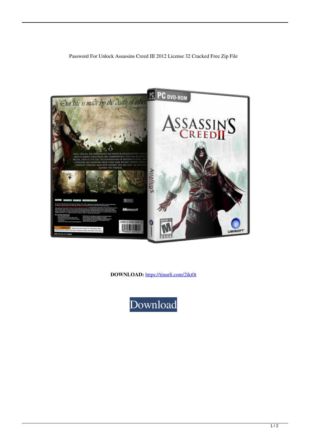

**DOWNLOAD:** <https://tinurli.com/2ikt0t>